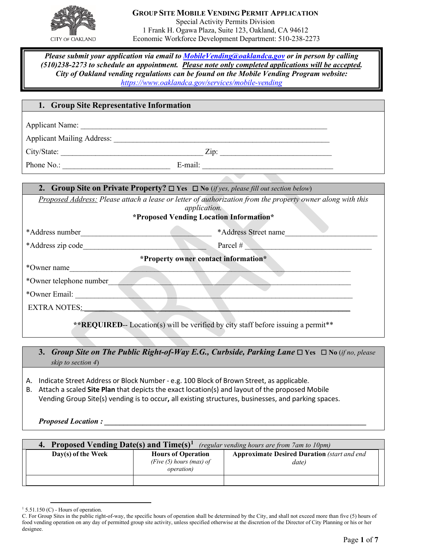

### **GROUP SITE MOBILE VENDING PERMIT APPLICATION** Special Activity Permits Division 1 Frank H. Ogawa Plaza, Suite 123, Oakland, CA 94612 Economic Workforce Development Department: 510-238-2273

*Please submit your application via email to [MobileVending@oaklandca.gov](mailto:MobileVending@oaklandca.gov) or in person by calling (510)238-2273 to schedule an appointment. Please note only completed applications will be accepted. City of Oakland vending regulations can be found on the Mobile Vending Program website: <https://www.oaklandca.gov/services/mobile-vending>*

### **1. Group Site Representative Information**

Applicant Name: \_\_\_\_\_\_\_\_\_\_\_\_\_\_\_\_\_\_\_\_\_\_\_\_\_\_\_\_\_\_\_\_\_\_\_\_\_\_\_\_\_\_\_\_\_\_\_\_\_\_\_\_\_\_\_\_\_\_\_\_\_\_\_\_

Applicant Mailing Address: \_\_\_\_\_\_\_\_\_\_\_\_\_\_\_\_\_\_\_\_\_\_\_\_\_\_\_\_\_\_\_\_\_\_\_\_\_\_\_\_\_\_\_\_\_\_\_\_\_\_\_\_\_\_\_\_

City/State: \_\_\_\_\_\_\_\_\_\_\_\_\_\_\_\_\_\_\_\_\_\_\_\_\_\_\_\_\_\_\_\_\_\_\_\_\_ Zip: \_\_\_\_\_\_\_\_\_\_\_\_\_\_\_\_\_\_\_\_\_\_\_\_\_\_\_\_\_

Phone No.: \_\_\_\_\_\_\_\_\_\_\_\_\_\_\_\_\_\_\_\_\_\_\_\_\_\_\_\_ E-mail: \_\_\_\_\_\_\_\_\_\_\_\_\_\_\_\_\_\_\_\_\_\_\_\_\_\_\_\_\_\_\_\_\_\_

| <b>2.</b> Group Site on Private Property? $\Box$ Yes $\Box$ No (if yes, please fill out section below) |  |  |  |  |  |
|--------------------------------------------------------------------------------------------------------|--|--|--|--|--|
|                                                                                                        |  |  |  |  |  |

*Proposed Address: Please attach a lease or letter of authorization from the property owner along with this application.* 

### **\*Proposed Vending Location Information\***

| *Address number                                                                   | *Address Street name |
|-----------------------------------------------------------------------------------|----------------------|
| *Address zip code                                                                 | Parcel #             |
| *Property owner contact information*                                              |                      |
| *Owner name                                                                       |                      |
| *Owner telephone number                                                           |                      |
| *Owner Email:                                                                     |                      |
| <b>EXTRA NOTES:</b>                                                               |                      |
| **REQUIRED-- Location(s) will be verified by city staff before issuing a permit** |                      |

**3.** *Group Site on The Public Right-of-Way E.G., Curbside, Parking Lane* ☐ **Yes** ☐ **No** (*if no, please skip to section 4*)

- A. Indicate Street Address or Block Number e.g. 100 Block of Brown Street, as applicable.
- B. Attach a scaled **Site Plan** that depicts the exact location(s) and layout of the proposed Mobile Vending Group Site(s) vending is to occur**,** all existing structures, businesses, and parking spaces.

*Proposed Location :* 

| 4. Proposed Vending Date(s) and $Time(s)^{1}$<br>(regular vending hours are from 7am to 10pm) |                                                                               |                                                             |  |  |  |
|-----------------------------------------------------------------------------------------------|-------------------------------------------------------------------------------|-------------------------------------------------------------|--|--|--|
| Day(s) of the Week                                                                            | <b>Hours of Operation</b><br>(Five $(5)$ hours (max) of<br><i>operation</i> ) | <b>Approximate Desired Duration</b> (start and end<br>date) |  |  |  |
|                                                                                               |                                                                               |                                                             |  |  |  |

<span id="page-0-0"></span> $1\,$  5.51.150 (C) - Hours of operation.

C. For Group Sites in the public right-of-way, the specific hours of operation shall be determined by the City, and shall not exceed more than five (5) hours of food vending operation on any day of permitted group site activity, unless specified otherwise at the discretion of the Director of City Planning or his or her designee.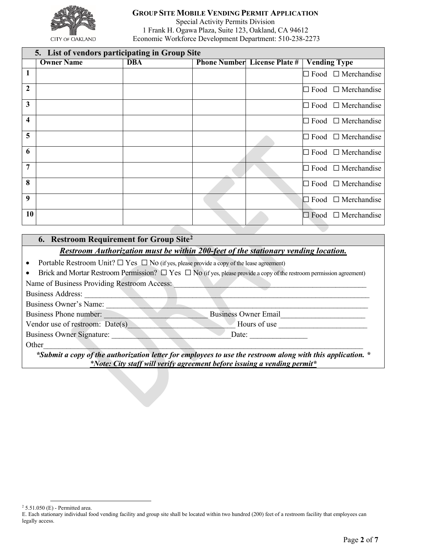

## **GROUP SITE MOBILE VENDING PERMIT APPLICATION**

Special Activity Permits Division 1 Frank H. Ogawa Plaza, Suite 123, Oakland, CA 94612 Economic Workforce Development Department: 510-238-2273

|                         | 5. List of vendors participating in Group Site |            |  |                                     |                                |
|-------------------------|------------------------------------------------|------------|--|-------------------------------------|--------------------------------|
|                         | <b>Owner Name</b>                              | <b>DBA</b> |  | <b>Phone Number</b> License Plate # | <b>Vending Type</b>            |
| $\mathbf{1}$            |                                                |            |  |                                     | Food $\Box$ Merchandise        |
| $\overline{2}$          |                                                |            |  |                                     | $\Box$ Food $\Box$ Merchandise |
| $\mathbf{3}$            |                                                |            |  |                                     | $\Box$ Food $\Box$ Merchandise |
| $\overline{\mathbf{4}}$ |                                                |            |  |                                     | $\Box$ Food $\Box$ Merchandise |
| 5                       |                                                |            |  |                                     | Food $\Box$ Merchandise<br>IЦ  |
| 6                       |                                                |            |  |                                     | Food $\Box$ Merchandise<br>Щ   |
| $\overline{7}$          |                                                |            |  |                                     | $\Box$ Food $\Box$ Merchandise |
| 8                       |                                                |            |  |                                     | $\Box$ Food $\Box$ Merchandise |
| 9                       |                                                |            |  |                                     | Food $\Box$ Merchandise<br>łП  |
| 10                      |                                                |            |  |                                     | $\Box$ Food $\Box$ Merchandise |

## **6. Restroom Requirement for Group Site[2](#page-1-0)**

### *Restroom Authorization must be within 200-feet of the stationary vending location.*

- Portable Restroom Unit?  $\Box$  Yes  $\Box$  No (if yes, please provide a copy of the lease agreement)
- Brick and Mortar Restroom Permission?  $\Box$  Yes  $\Box$  No (if yes, please provide a copy of the restroom permission agreement)

Name of Business Providing Restroom Access:

Business Address:

Business Owner's Name:

Business Phone number: \_\_\_\_\_\_\_\_\_\_\_\_\_\_\_\_\_\_\_\_\_\_\_\_\_\_\_ Business Owner Email\_\_\_\_\_\_\_\_\_\_\_\_\_\_\_\_\_\_\_\_\_\_

Vendor use of restroom: Date(s) Flours of use Hours of use

Business Owner Signature: <br>
Date: <br>
Date:

Other\_\_\_\_\_\_\_\_\_\_\_\_\_\_\_\_\_\_\_\_\_\_\_\_\_\_\_\_\_\_\_\_\_\_\_\_\_\_\_\_\_\_\_\_\_\_\_\_\_\_\_\_\_\_\_\_\_\_\_\_\_\_\_\_\_\_\_\_\_\_\_\_\_\_\_\_\_\_\_\_\_\_\_ *\*Submit a copy of the authorization letter for employees to use the restroom along with this application. \* \*Note: City staff will verify agreement before issuing a vending permit\**

<span id="page-1-0"></span><sup>2</sup> 5.51.050 (E) - Permitted area.

E. Each stationary individual food vending facility and group site shall be located within two hundred (200) feet of a restroom facility that employees can legally access.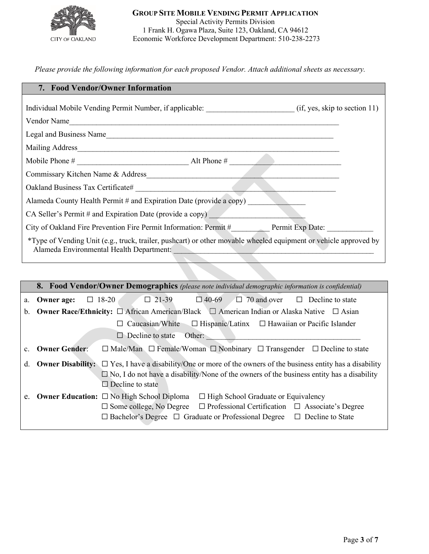

### **GROUP SITE MOBILE VENDING PERMIT APPLICATION** Special Activity Permits Division 1 Frank H. Ogawa Plaza, Suite 123, Oakland, CA 94612 Economic Workforce Development Department: 510-238-2273

*Please provide the following information for each proposed Vendor. Attach additional sheets as necessary.* 

| 7. Food Vendor/Owner Information                                                                                                                             |
|--------------------------------------------------------------------------------------------------------------------------------------------------------------|
| Individual Mobile Vending Permit Number, if applicable: (if, yes, skip to section 11)                                                                        |
| Vendor Name                                                                                                                                                  |
| Legal and Business Name                                                                                                                                      |
| Mailing Address                                                                                                                                              |
| Mobile Phone #<br>Alt Phone #                                                                                                                                |
| Commissary Kitchen Name & Address                                                                                                                            |
| Oakland Business Tax Certificate#                                                                                                                            |
| Alameda County Health Permit # and Expiration Date (provide a copy)                                                                                          |
| CA Seller's Permit # and Expiration Date (provide a copy)                                                                                                    |
| City of Oakland Fire Prevention Fire Permit Information: Permit # Permit Exp Date:                                                                           |
| *Type of Vending Unit (e.g., truck, trailer, pushcart) or other movable wheeled equipment or vehicle approved by<br>Alameda Environmental Health Department: |

|    |                          | <b>8. Food Vendor/Owner Demographics</b> (please note individual demographic information is confidential)                                                                                                                                                                                             |
|----|--------------------------|-------------------------------------------------------------------------------------------------------------------------------------------------------------------------------------------------------------------------------------------------------------------------------------------------------|
| a. | Owner age:               | $\Box$ 21-39<br>$\Box$ 40-69<br>$\Box$ 70 and over<br>$\Box$ 18-20<br>$\Box$ Decline to state                                                                                                                                                                                                         |
| b. |                          | <b>Owner Race/Ethnicity:</b> $\Box$ African American/Black $\Box$ American Indian or Alaska Native $\Box$ Asian                                                                                                                                                                                       |
|    |                          | Caucasian/White $\Box$ Hispanic/Latinx $\Box$ Hawaiian or Pacific Islander                                                                                                                                                                                                                            |
|    |                          | $\Box$ Decline to state<br>Other:                                                                                                                                                                                                                                                                     |
|    | <b>Owner Gender:</b>     | $\Box$ Male/Man $\Box$ Female/Woman $\Box$ Nonbinary $\Box$ Transgender $\Box$ Decline to state                                                                                                                                                                                                       |
| d. | <b>Owner Disability:</b> | $\Box$ Yes, I have a disability/One or more of the owners of the business entity has a disability<br>$\Box$ No, I do not have a disability/None of the owners of the business entity has a disability<br>$\Box$ Decline to state                                                                      |
| e. |                          | <b>Owner Education:</b> $\Box$ No High School Diploma<br>$\Box$ High School Graduate or Equivalency<br>$\square$ Some college, No Degree<br>$\Box$ Professional Certification $\Box$ Associate's Degree<br>$\Box$ Bachelor's Degree $\Box$ Graduate or Professional Degree<br>$\Box$ Decline to State |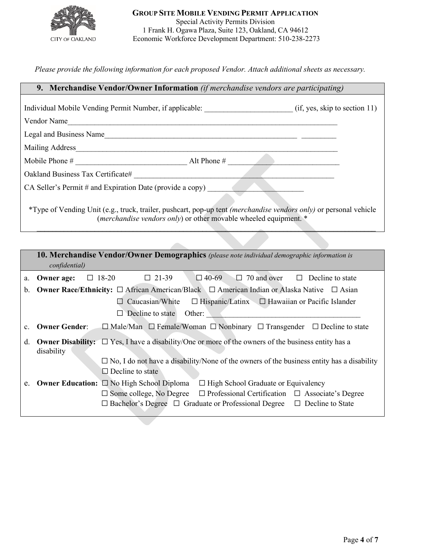

*Please provide the following information for each proposed Vendor. Attach additional sheets as necessary.* 

| 9. Merchandise Vendor/Owner Information (if merchandise vendors are participating)                                                                                                    |
|---------------------------------------------------------------------------------------------------------------------------------------------------------------------------------------|
| Individual Mobile Vending Permit Number, if applicable: (if, yes, skip to section 11)                                                                                                 |
| Vendor Name                                                                                                                                                                           |
| Legal and Business Name                                                                                                                                                               |
|                                                                                                                                                                                       |
|                                                                                                                                                                                       |
|                                                                                                                                                                                       |
| CA Seller's Permit # and Expiration Date (provide a copy)                                                                                                                             |
| *Type of Vending Unit (e.g., truck, trailer, pushcart, pop-up tent (merchandise vendors only) or personal vehicle<br>(merchandise vendors only) or other movable wheeled equipment. * |
| 10. Merchandise Vendor/Owner Demographics (please note individual demographic information is<br>confidential)                                                                         |
| <b>Owner age:</b> $\Box$ 18-20 $\Box$ 21-39 $\Box$ 40-69 $\Box$ 70 and over $\Box$ Decline to state<br>a.                                                                             |
| Owner Race/Ethnicity: □ African American/Black □ American Indian or Alaska Native □ Asian<br>b.                                                                                       |
| $\Box$ Hispanic/Latinx $\Box$ Hawaiian or Pacific Islander<br>$\Box$ Caucasian/White                                                                                                  |
| Decline to state Other:                                                                                                                                                               |
| <b>Owner Gender:</b> $\Box$ Male/Man $\Box$ Female/Woman $\Box$ Nonbinary $\Box$ Transgender $\Box$ Decline to state<br>$c_{\cdot}$                                                   |
| <b>Owner Disability:</b> $\Box$ Yes, I have a disability/One or more of the owners of the business entity has a<br>d.<br>disability                                                   |

□ Decline to state

e. **Owner Education:** ☐ No High School Diploma ☐ High School Graduate or Equivalency

☐ No, I do not have a disability/None of the owners of the business entity has a disability

 ☐ Some college, No Degree ☐ Professional Certification ☐ Associate's Degree ☐ Bachelor's Degree ☐ Graduate or Professional Degree ☐ Decline to State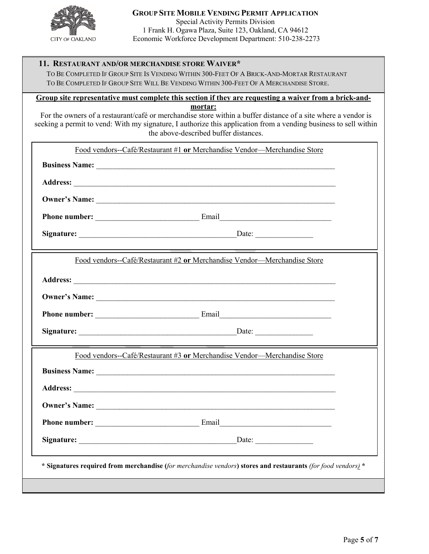

## **11. RESTAURANT AND/OR MERCHANDISE STORE WAIVER\***

 TO BE COMPLETED IF GROUP SITE IS VENDING WITHIN 300-FEET OF A BRICK-AND-MORTAR RESTAURANT TO BE COMPLETED IF GROUP SITE WILL BE VENDING WITHIN 300-FEET OF A MERCHANDISE STORE.

**Group site representative must complete this section if they are requesting a waiver from a brick-andmortar:**

For the owners of a restaurant/café or merchandise store within a buffer distance of a site where a vendor is seeking a permit to vend: With my signature, I authorize this application from a vending business to sell within the above-described buffer distances.

| Food vendors--Café/Restaurant #1 or Merchandise Vendor---Merchandise Store                                   |  |
|--------------------------------------------------------------------------------------------------------------|--|
|                                                                                                              |  |
|                                                                                                              |  |
|                                                                                                              |  |
|                                                                                                              |  |
|                                                                                                              |  |
| Food vendors--Café/Restaurant #2 or Merchandise Vendor---Merchandise Store                                   |  |
|                                                                                                              |  |
|                                                                                                              |  |
|                                                                                                              |  |
|                                                                                                              |  |
| Food vendors--Café/Restaurant #3 or Merchandise Vendor---Merchandise Store                                   |  |
|                                                                                                              |  |
|                                                                                                              |  |
| Owner's Name:                                                                                                |  |
|                                                                                                              |  |
|                                                                                                              |  |
| * Signatures required from merchandise (for merchandise vendors) stores and restaurants (for food vendors) * |  |
|                                                                                                              |  |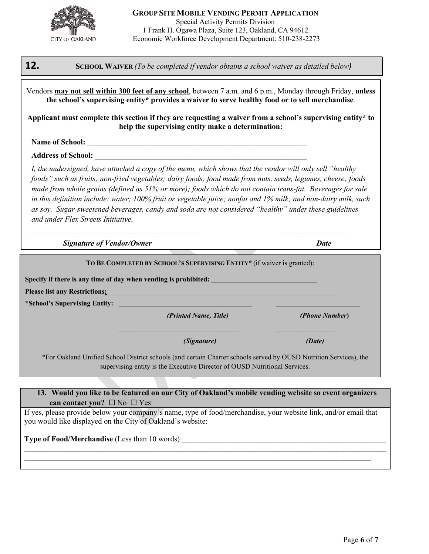

# **12. SCHOOL WAIVER** *(To be completed if vendor obtains a school waiver as detailed below)*

Vendors **may not sell within 300 feet of any school**, between 7 a.m. and 6 p.m., Monday through Friday, **unless the school's supervising entity\* provides a waiver to serve healthy food or to sell merchandise**.

**Applicant must complete this section if they are requesting a waiver from a school's supervising entity\* to help the supervising entity make a determination:**

### Name of School:

**Address of School:** \_\_\_\_\_\_\_\_\_\_\_\_\_\_\_\_\_\_\_\_\_\_\_\_\_\_\_\_\_\_\_\_\_\_\_\_\_\_\_\_\_\_\_\_\_\_\_\_\_\_\_\_\_\_\_

*I, the undersigned, have attached a copy of the menu, which shows that the vendor will only sell "healthy foods" such as fruits; non-fried vegetables; dairy foods; food made from nuts, seeds, legumes, cheese; foods made from whole grains (defined as 51% or more); foods which do not contain trans-fat. Beverages for sale in this definition include: water; 100% fruit or vegetable juice; nonfat and 1% milk; and non-dairy milk, such as soy. Sugar-sweetened beverages, candy and soda are not considered "healthy" under these guidelines and under Flex Streets Initiative.* 

 *Signature of Vendor/Owner Date*

|                                                                                                                                                                                                                                | TO BE COMPLETED BY SCHOOL'S SUPERVISING ENTITY* (if waiver is granted): |                       |
|--------------------------------------------------------------------------------------------------------------------------------------------------------------------------------------------------------------------------------|-------------------------------------------------------------------------|-----------------------|
| Specify if there is any time of day when vending is prohibited:                                                                                                                                                                |                                                                         |                       |
| Please list any Restrictions: Note that the contract of the contract of the contract of the contract of the contract of the contract of the contract of the contract of the contract of the contract of the contract of the co |                                                                         |                       |
| *School's Supervising Entity:                                                                                                                                                                                                  |                                                                         |                       |
|                                                                                                                                                                                                                                | (Printed Name, Title)                                                   | <i>(Phone Number)</i> |
|                                                                                                                                                                                                                                | <i>(Signature)</i>                                                      | (Date)                |

supervising entity is the Executive Director of OUSD Nutritional Services.

### **13. Would you like to be featured on our City of Oakland's mobile vending website so event organizers can contact you?** ☐ No ☐ Yes

If yes, please provide below your company's name, type of food/merchandise, your website link, and/or email that you would like displayed on the City of Oakland's website:

 $\_$  , and the contribution of the contribution of the contribution of the contribution of the contribution of  $\mathcal{L}_\text{max}$ \_\_\_\_\_\_\_\_\_\_\_\_\_\_\_\_\_\_\_\_\_\_\_\_\_\_\_\_\_\_\_\_\_\_\_\_\_\_\_\_\_\_\_\_\_\_\_\_\_\_\_\_\_\_\_\_\_\_\_\_\_\_\_\_\_\_\_\_\_\_\_\_\_\_\_\_\_\_\_\_\_\_\_\_\_\_\_\_\_\_

## **Type of Food/Merchandise** (Less than 10 words)